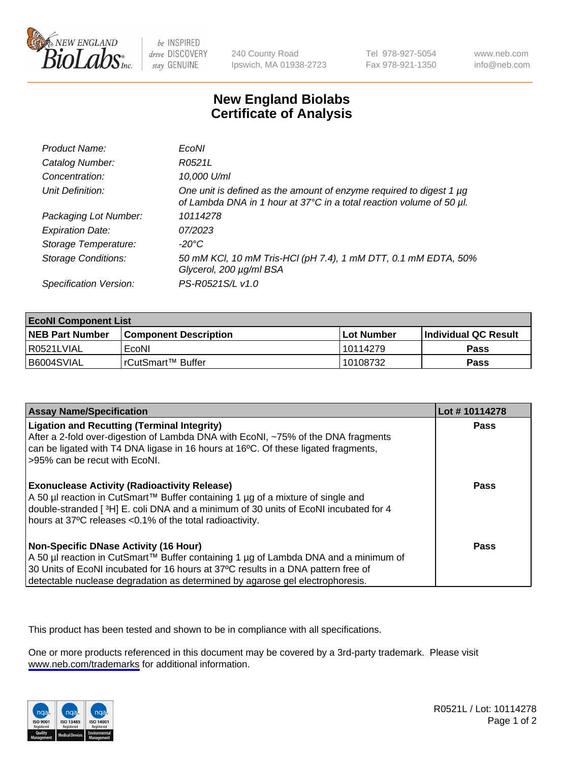

be INSPIRED drive DISCOVERY stay GENUINE

240 County Road Ipswich, MA 01938-2723 Tel 978-927-5054 Fax 978-921-1350

www.neb.com info@neb.com

## **New England Biolabs Certificate of Analysis**

| Product Name:              | <b>EcoNI</b>                                                                                                                                |
|----------------------------|---------------------------------------------------------------------------------------------------------------------------------------------|
| Catalog Number:            | R0521L                                                                                                                                      |
| Concentration:             | 10,000 U/ml                                                                                                                                 |
| Unit Definition:           | One unit is defined as the amount of enzyme required to digest 1 µg<br>of Lambda DNA in 1 hour at 37°C in a total reaction volume of 50 µl. |
| Packaging Lot Number:      | 10114278                                                                                                                                    |
| <b>Expiration Date:</b>    | 07/2023                                                                                                                                     |
| Storage Temperature:       | -20°C                                                                                                                                       |
| <b>Storage Conditions:</b> | 50 mM KCl, 10 mM Tris-HCl (pH 7.4), 1 mM DTT, 0.1 mM EDTA, 50%<br>Glycerol, 200 µg/ml BSA                                                   |
| Specification Version:     | PS-R0521S/L v1.0                                                                                                                            |

| <b>EcoNI Component List</b> |                         |              |                             |  |
|-----------------------------|-------------------------|--------------|-----------------------------|--|
| <b>NEB Part Number</b>      | l Component Description | l Lot Number | <b>Individual QC Result</b> |  |
| I R0521LVIAL                | EcoNI                   | 10114279     | Pass                        |  |
| B6004SVIAL                  | l rCutSmart™ Buffer     | 10108732     | Pass                        |  |

| <b>Assay Name/Specification</b>                                                                                                                                                                                                                                                                           | Lot #10114278 |
|-----------------------------------------------------------------------------------------------------------------------------------------------------------------------------------------------------------------------------------------------------------------------------------------------------------|---------------|
| <b>Ligation and Recutting (Terminal Integrity)</b><br>After a 2-fold over-digestion of Lambda DNA with EcoNI, ~75% of the DNA fragments<br>can be ligated with T4 DNA ligase in 16 hours at 16°C. Of these ligated fragments,<br>>95% can be recut with EcoNI.                                            | Pass          |
| <b>Exonuclease Activity (Radioactivity Release)</b><br>A 50 µl reaction in CutSmart™ Buffer containing 1 µg of a mixture of single and<br>double-stranded [3H] E. coli DNA and a minimum of 30 units of EcoNI incubated for 4<br>hours at 37°C releases <0.1% of the total radioactivity.                 | Pass          |
| <b>Non-Specific DNase Activity (16 Hour)</b><br>A 50 µl reaction in CutSmart™ Buffer containing 1 µg of Lambda DNA and a minimum of<br>30 Units of EcoNI incubated for 16 hours at 37°C results in a DNA pattern free of<br>detectable nuclease degradation as determined by agarose gel electrophoresis. | Pass          |

This product has been tested and shown to be in compliance with all specifications.

One or more products referenced in this document may be covered by a 3rd-party trademark. Please visit <www.neb.com/trademarks>for additional information.